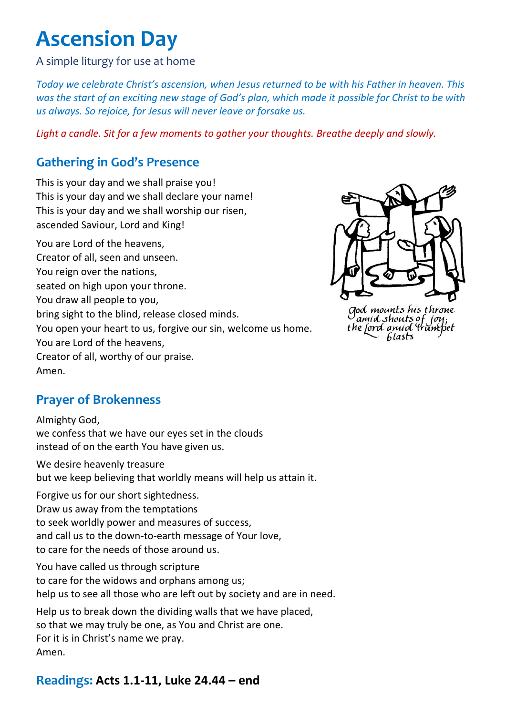# **Ascension Day**

A simple liturgy for use at home

*Today we celebrate Christ's ascension, when Jesus returned to be with his Father in heaven. This was the start of an exciting new stage of God's plan, which made it possible for Christ to be with us always. So rejoice, for Jesus will never leave or forsake us.*

*Light a candle. Sit for a few moments to gather your thoughts. Breathe deeply and slowly.*

# **Gathering in God's Presence**

This is your day and we shall praise you! This is your day and we shall declare your name! This is your day and we shall worship our risen, ascended Saviour, Lord and King! You are Lord of the heavens, Creator of all, seen and unseen. You reign over the nations, seated on high upon your throne. You draw all people to you, bring sight to the blind, release closed minds. You open your heart to us, forgive our sin, welcome us home. You are Lord of the heavens, Creator of all, worthy of our praise. Amen.



God mounts his throne<br>amid shouts of joy;<br>the ford anud trumpet 6lasts

## **Prayer of Brokenness**

Almighty God, we confess that we have our eyes set in the clouds instead of on the earth You have given us.

We desire heavenly treasure but we keep believing that worldly means will help us attain it.

Forgive us for our short sightedness. Draw us away from the temptations to seek worldly power and measures of success, and call us to the down-to-earth message of Your love, to care for the needs of those around us.

You have called us through scripture to care for the widows and orphans among us; help us to see all those who are left out by society and are in need.

Help us to break down the dividing walls that we have placed, so that we may truly be one, as You and Christ are one. For it is in Christ's name we pray. Amen.

#### **Readings: Acts 1.1-11, Luke 24.44 – end**